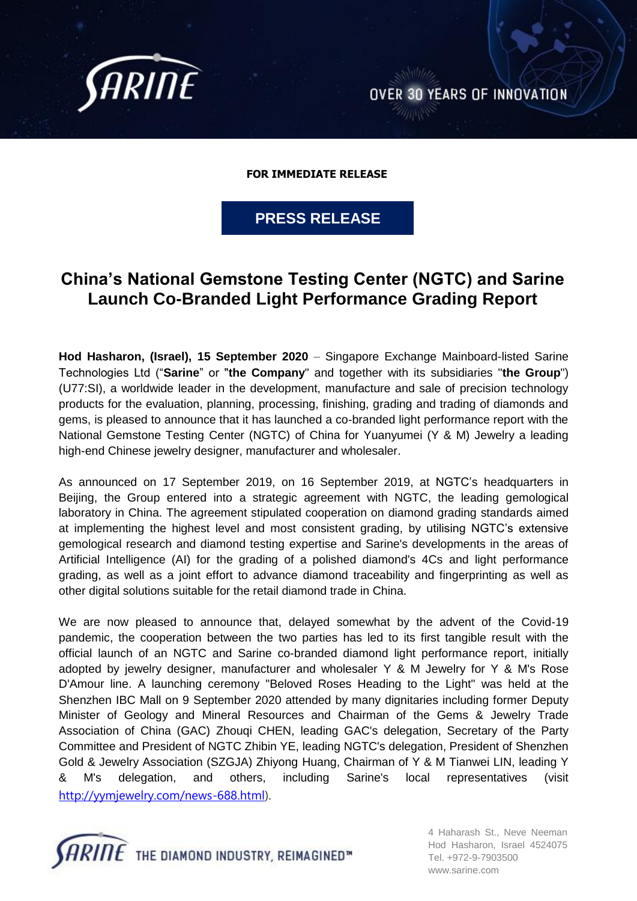

**OVER 30 YEARS OF INNOVATION** 

**FOR IMMEDIATE RELEASE** 

**PRESS RELEASE**

# **China's National Gemstone Testing Center (NGTC) and Sarine Launch Co-Branded Light Performance Grading Report**

**Hod Hasharon, (Israel), 15 September 2020** – Singapore Exchange Mainboard-listed Sarine Technologies Ltd ("**Sarine**" or "**the Company**" and together with its subsidiaries "**the Group**") (U77:SI), a worldwide leader in the development, manufacture and sale of precision technology products for the evaluation, planning, processing, finishing, grading and trading of diamonds and gems, is pleased to announce that it has launched a co-branded light performance report with the National Gemstone Testing Center (NGTC) of China for Yuanyumei (Y & M) Jewelry a leading high-end Chinese jewelry designer, manufacturer and wholesaler.

As announced on 17 September 2019, on 16 September 2019, at NGTC's headquarters in Beijing, the Group entered into a strategic agreement with NGTC, the leading gemological laboratory in China. The agreement stipulated cooperation on diamond grading standards aimed at implementing the highest level and most consistent grading, by utilising NGTC's extensive gemological research and diamond testing expertise and Sarine's developments in the areas of Artificial Intelligence (AI) for the grading of a polished diamond's 4Cs and light performance grading, as well as a joint effort to advance diamond traceability and fingerprinting as well as other digital solutions suitable for the retail diamond trade in China.

We are now pleased to announce that, delayed somewhat by the advent of the Covid-19 pandemic, the cooperation between the two parties has led to its first tangible result with the official launch of an NGTC and Sarine co-branded diamond light performance report, initially adopted by jewelry designer, manufacturer and wholesaler Y & M Jewelry for Y & M's Rose D'Amour line. A launching ceremony "Beloved Roses Heading to the Light" was held at the Shenzhen IBC Mall on 9 September 2020 attended by many dignitaries including former Deputy Minister of Geology and Mineral Resources and Chairman of the Gems & Jewelry Trade Association of China (GAC) Zhouqi CHEN, leading GAC's delegation, Secretary of the Party Committee and President of NGTC Zhibin YE, leading NGTC's delegation, President of Shenzhen Gold & Jewelry Association (SZGJA) Zhiyong Huang, Chairman of Y & M Tianwei LIN, leading Y & M's delegation, and others, including Sarine's local representatives (visit [http://yymjewelry.com/news-688.html\)](http://yymjewelry.com/news-688.html).



4 Haharash St., Neve Neeman Hod Hasharon, Israel 4524075 Tel. +972-9-7903500 [www.sarine.com](http://www.sarine.com/)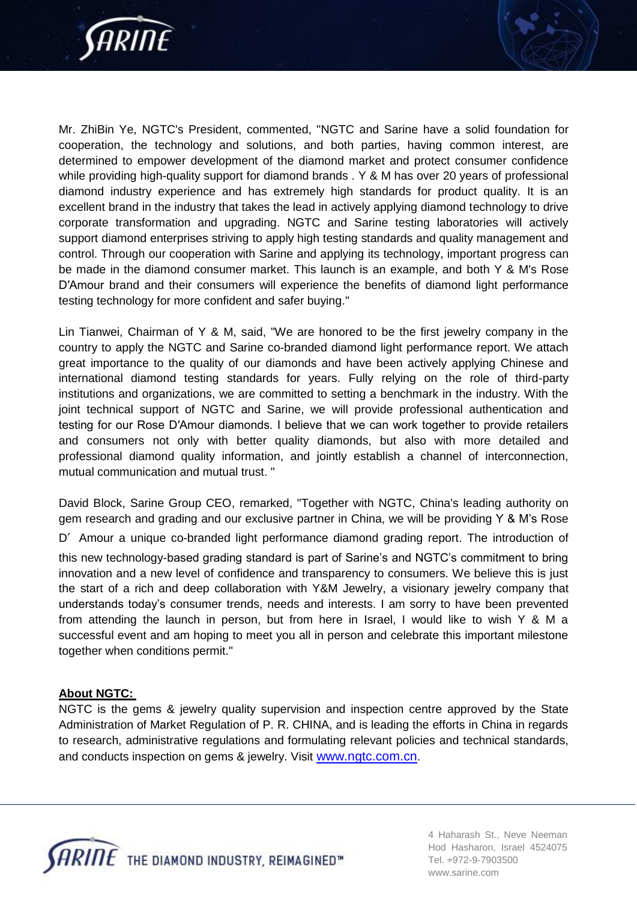

Mr. ZhiBin Ye, NGTC's President, commented, "NGTC and Sarine have a solid foundation for cooperation, the technology and solutions, and both parties, having common interest, are determined to empower development of the diamond market and protect consumer confidence while providing high-quality support for diamond brands . Y & M has over 20 years of professional diamond industry experience and has extremely high standards for product quality. It is an excellent brand in the industry that takes the lead in actively applying diamond technology to drive corporate transformation and upgrading. NGTC and Sarine testing laboratories will actively support diamond enterprises striving to apply high testing standards and quality management and control. Through our cooperation with Sarine and applying its technology, important progress can be made in the diamond consumer market. This launch is an example, and both Y & M's Rose D′Amour brand and their consumers will experience the benefits of diamond light performance testing technology for more confident and safer buying."

Lin Tianwei, Chairman of Y & M, said, "We are honored to be the first jewelry company in the country to apply the NGTC and Sarine co-branded diamond light performance report. We attach great importance to the quality of our diamonds and have been actively applying Chinese and international diamond testing standards for years. Fully relying on the role of third-party institutions and organizations, we are committed to setting a benchmark in the industry. With the joint technical support of NGTC and Sarine, we will provide professional authentication and testing for our Rose D′Amour diamonds. I believe that we can work together to provide retailers and consumers not only with better quality diamonds, but also with more detailed and professional diamond quality information, and jointly establish a channel of interconnection, mutual communication and mutual trust. "

David Block, Sarine Group CEO, remarked, "Together with NGTC, China's leading authority on gem research and grading and our exclusive partner in China, we will be providing Y & M's Rose

D' Amour a unique co-branded light performance diamond grading report. The introduction of this new technology-based grading standard is part of Sarine's and NGTC's commitment to bring innovation and a new level of confidence and transparency to consumers. We believe this is just the start of a rich and deep collaboration with Y&M Jewelry, a visionary jewelry company that understands today's consumer trends, needs and interests. I am sorry to have been prevented from attending the launch in person, but from here in Israel, I would like to wish Y & M a successful event and am hoping to meet you all in person and celebrate this important milestone together when conditions permit."

## **About NGTC:**

NGTC is the gems & jewelry quality supervision and inspection centre approved by the State Administration of Market Regulation of P. R. CHINA, and is leading the efforts in China in regards to research, administrative regulations and formulating relevant policies and technical standards, and conducts inspection on gems & jewelry. Visit www.ngtc.com.cn.



4 Haharash St., Neve Neeman Hod Hasharon, Israel 4524075 Tel. +972-9-7903500 [www.sarine.com](http://www.sarine.com/)